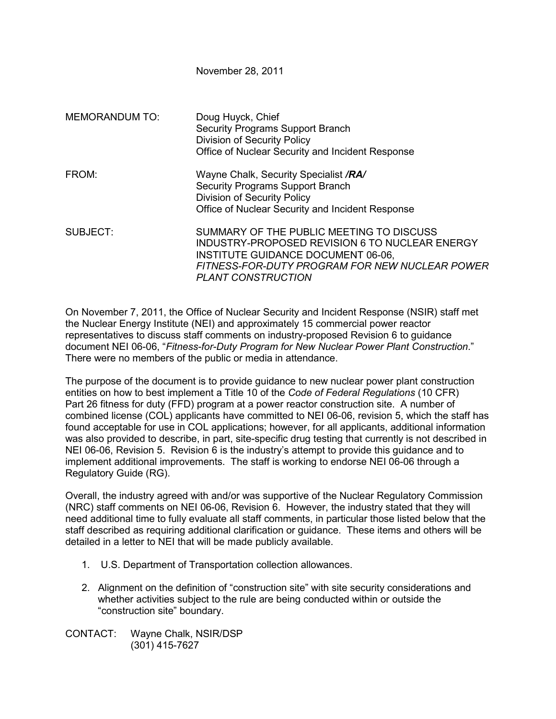November 28, 2011

| <b>MEMORANDUM TO:</b> | Doug Huyck, Chief<br>Security Programs Support Branch<br><b>Division of Security Policy</b><br>Office of Nuclear Security and Incident Response                                                                 |
|-----------------------|-----------------------------------------------------------------------------------------------------------------------------------------------------------------------------------------------------------------|
| FROM:                 | Wayne Chalk, Security Specialist /RA/<br><b>Security Programs Support Branch</b><br><b>Division of Security Policy</b><br>Office of Nuclear Security and Incident Response                                      |
| SUBJECT:              | SUMMARY OF THE PUBLIC MEETING TO DISCUSS<br>INDUSTRY-PROPOSED REVISION 6 TO NUCLEAR ENERGY<br>INSTITUTE GUIDANCE DOCUMENT 06-06,<br>FITNESS-FOR-DUTY PROGRAM FOR NEW NUCLEAR POWER<br><b>PLANT CONSTRUCTION</b> |

On November 7, 2011, the Office of Nuclear Security and Incident Response (NSIR) staff met the Nuclear Energy Institute (NEI) and approximately 15 commercial power reactor representatives to discuss staff comments on industry-proposed Revision 6 to guidance document NEI 06-06, "*Fitness-for-Duty Program for New Nuclear Power Plant Construction*." There were no members of the public or media in attendance.

The purpose of the document is to provide guidance to new nuclear power plant construction entities on how to best implement a Title 10 of the *Code of Federal Regulations* (10 CFR) Part 26 fitness for duty (FFD) program at a power reactor construction site. A number of combined license (COL) applicants have committed to NEI 06-06, revision 5, which the staff has found acceptable for use in COL applications; however, for all applicants, additional information was also provided to describe, in part, site-specific drug testing that currently is not described in NEI 06-06, Revision 5. Revision 6 is the industry's attempt to provide this guidance and to implement additional improvements. The staff is working to endorse NEI 06-06 through a Regulatory Guide (RG).

Overall, the industry agreed with and/or was supportive of the Nuclear Regulatory Commission (NRC) staff comments on NEI 06-06, Revision 6. However, the industry stated that they will need additional time to fully evaluate all staff comments, in particular those listed below that the staff described as requiring additional clarification or guidance. These items and others will be detailed in a letter to NEI that will be made publicly available.

- 1. U.S. Department of Transportation collection allowances.
- 2. Alignment on the definition of "construction site" with site security considerations and whether activities subject to the rule are being conducted within or outside the "construction site" boundary.

CONTACT: Wayne Chalk, NSIR/DSP (301) 415-7627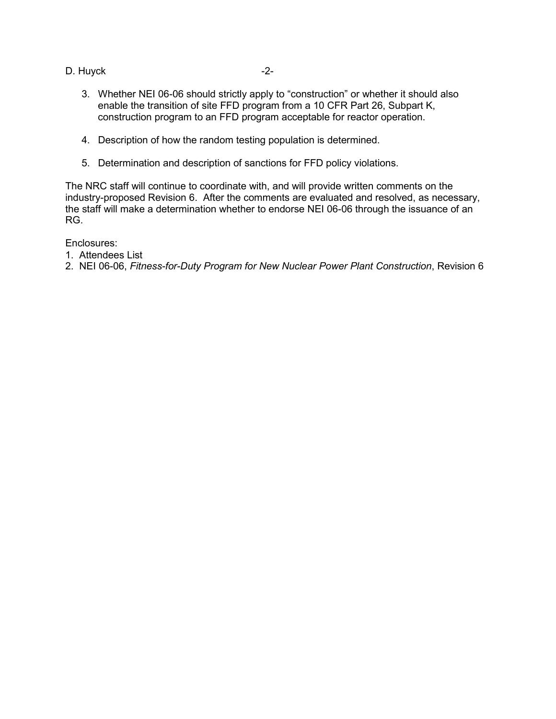D. Huyck **-2-**

- 3. Whether NEI 06-06 should strictly apply to "construction" or whether it should also enable the transition of site FFD program from a 10 CFR Part 26, Subpart K, construction program to an FFD program acceptable for reactor operation.
- 4. Description of how the random testing population is determined.
- 5. Determination and description of sanctions for FFD policy violations.

The NRC staff will continue to coordinate with, and will provide written comments on the industry-proposed Revision 6. After the comments are evaluated and resolved, as necessary, the staff will make a determination whether to endorse NEI 06-06 through the issuance of an RG.

Enclosures:

- 1. Attendees List
- 2. NEI 06-06, *Fitness-for-Duty Program for New Nuclear Power Plant Construction*, Revision 6